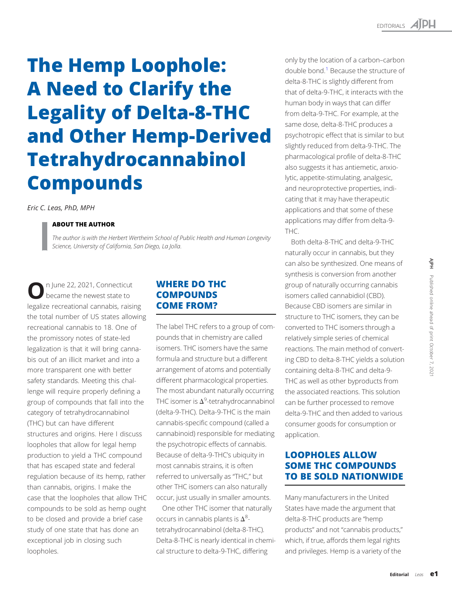# The Hemp Loophole: A Need to Clarify the Legality of Delta-8-THC and Other Hemp-Derived Tetrahydrocannabinol Compounds

Eric C. Leas, PhD, MPH

## ABOUT THE AUTHOR

The author is with the Herbert Wertheim School of Public Health and Human Longevity Science, University of California, San Diego, La Jolla.

On June 22, 2021, Connecticut<br>became the newest state to legalize recreational cannabis, raising the total number of US states allowing recreational cannabis to 18. One of the promissory notes of state-led legalization is that it will bring cannabis out of an illicit market and into a more transparent one with better safety standards. Meeting this challenge will require properly defining a group of compounds that fall into the category of tetrahydrocannabinol (THC) but can have different structures and origins. Here I discuss loopholes that allow for legal hemp production to yield a THC compound that has escaped state and federal regulation because of its hemp, rather than cannabis, origins. I make the case that the loopholes that allow THC compounds to be sold as hemp ought to be closed and provide a brief case study of one state that has done an exceptional job in closing such loopholes.

## WHERE DO THC **COMPOUNDS** COME FROM?

The label THC refers to a group of compounds that in chemistry are called isomers. THC isomers have the same formula and structure but a different arrangement of atoms and potentially different pharmacological properties. The most abundant naturally occurring THC isomer is  $\Delta^9$ -tetrahydrocannabinol (delta-9-THC). Delta-9-THC is the main cannabis-specific compound (called a cannabinoid) responsible for mediating the psychotropic effects of cannabis. Because of delta-9-THC's ubiquity in most cannabis strains, it is often referred to universally as "THC," but other THC isomers can also naturally occur, just usually in smaller amounts.

One other THC isomer that naturally occurs in cannabis plants is  $\Delta^8$ tetrahydrocannabinol (delta-8-THC). Delta-8-THC is nearly identical in chemical structure to delta-9-THC, differing

only by the location of a carbon–carbon double bond.<sup>[1](#page-4-0)</sup> Because the structure of delta-8-THC is slightly different from that of delta-9-THC, it interacts with the human body in ways that can differ from delta-9-THC. For example, at the same dose, delta-8-THC produces a psychotropic effect that is similar to but slightly reduced from delta-9-THC. The pharmacological profile of delta-8-THC also suggests it has antiemetic, anxiolytic, appetite-stimulating, analgesic, and neuroprotective properties, indicating that it may have therapeutic applications and that some of these applications may differ from delta-9- THC.

Both delta-8-THC and delta-9-THC naturally occur in cannabis, but they can also be synthesized. One means of synthesis is conversion from another group of naturally occurring cannabis isomers called cannabidiol (CBD). Because CBD isomers are similar in structure to THC isomers, they can be converted to THC isomers through a relatively simple series of chemical reactions. The main method of converting CBD to delta-8-THC yields a solution containing delta-8-THC and delta-9- THC as well as other byproducts from the associated reactions. This solution can be further processed to remove delta-9-THC and then added to various consumer goods for consumption or application.

## LOOPHOLES ALLOW SOME THC COMPOUNDS TO BE SOLD NATIONWIDE

Many manufacturers in the United States have made the argument that delta-8-THC products are "hemp products" and not "cannabis products," which, if true, affords them legal rights and privileges. Hemp is a variety of the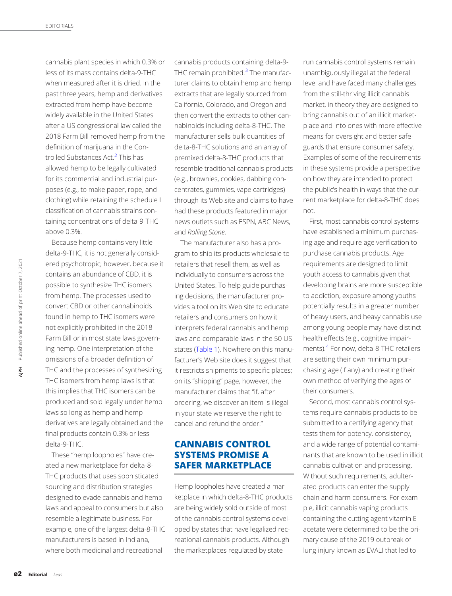cannabis plant species in which 0.3% or less of its mass contains delta-9-THC when measured after it is dried. In the past three years, hemp and derivatives extracted from hemp have become widely available in the United States after a US congressional law called the 2018 Farm Bill removed hemp from the definition of marijuana in the Controlled Substances Act.<sup>2</sup> This has allowed hemp to be legally cultivated for its commercial and industrial purposes (e.g., to make paper, rope, and clothing) while retaining the schedule I classification of cannabis strains containing concentrations of delta-9-THC above 0.3%.

Because hemp contains very little delta-9-THC, it is not generally considered psychotropic; however, because it contains an abundance of CBD, it is possible to synthesize THC isomers from hemp. The processes used to convert CBD or other cannabinoids found in hemp to THC isomers were not explicitly prohibited in the 2018 Farm Bill or in most state laws governing hemp. One interpretation of the omissions of a broader definition of THC and the processes of synthesizing THC isomers from hemp laws is that this implies that THC isomers can be produced and sold legally under hemp laws so long as hemp and hemp derivatives are legally obtained and the final products contain 0.3% or less delta-9-THC. ened conta<br>
possil<br>
from conve<br>
founce not e:<br>
Farm ing he<br>
omiss<br>
THC a<br>
THC is<br>
this ir<br>
produlaws s<br>
deriva<br>
final p<br>
delta-<br>
The ated a<br>
THC s<br>
s<br>
deriva<br>
final p<br>
delta-<br>
The ated a<br>
THC p<br>
s<br>
s<br>
resen<br>
exam manu<br>
whe

These "hemp loopholes" have created a new marketplace for delta-8- THC products that uses sophisticated sourcing and distribution strategies designed to evade cannabis and hemp laws and appeal to consumers but also resemble a legitimate business. For example, one of the largest delta-8-THC manufacturers is based in Indiana, where both medicinal and recreational

cannabis products containing delta-9- THC remain prohibited. $3$  The manufacturer claims to obtain hemp and hemp extracts that are legally sourced from California, Colorado, and Oregon and then convert the extracts to other cannabinoids including delta-8-THC. The manufacturer sells bulk quantities of delta-8-THC solutions and an array of premixed delta-8-THC products that resemble traditional cannabis products (e.g., brownies, cookies, dabbing concentrates, gummies, vape cartridges) through its Web site and claims to have had these products featured in major news outlets such as ESPN, ABC News, and Rolling Stone.

The manufacturer also has a program to ship its products wholesale to retailers that resell them, as well as individually to consumers across the United States. To help guide purchasing decisions, the manufacturer provides a tool on its Web site to educate retailers and consumers on how it interprets federal cannabis and hemp laws and comparable laws in the 50 US states [\(Table 1](#page-2-0)). Nowhere on this manufacturer's Web site does it suggest that it restricts shipments to specific places; on its "shipping" page, however, the manufacturer claims that "if, after ordering, we discover an item is illegal in your state we reserve the right to cancel and refund the order."

## CANNABIS CONTROL SYSTEMS PROMISE A SAFER MARKETPLACE

Hemp loopholes have created a marketplace in which delta-8-THC products are being widely sold outside of most of the cannabis control systems developed by states that have legalized recreational cannabis products. Although the marketplaces regulated by staterun cannabis control systems remain unambiguously illegal at the federal level and have faced many challenges from the still-thriving illicit cannabis market, in theory they are designed to bring cannabis out of an illicit marketplace and into ones with more effective means for oversight and better safeguards that ensure consumer safety. Examples of some of the requirements in these systems provide a perspective on how they are intended to protect the public's health in ways that the current marketplace for delta-8-THC does not.

First, most cannabis control systems have established a minimum purchasing age and require age verification to purchase cannabis products. Age requirements are designed to limit youth access to cannabis given that developing brains are more susceptible to addiction, exposure among youths potentially results in a greater number of heavy users, and heavy cannabis use among young people may have distinct health effects (e.g., cognitive impairments).<sup>4</sup> For now, delta-8-THC retailers are setting their own minimum purchasing age (if any) and creating their own method of verifying the ages of their consumers.

Second, most cannabis control systems require cannabis products to be submitted to a certifying agency that tests them for potency, consistency, and a wide range of potential contaminants that are known to be used in illicit cannabis cultivation and processing. Without such requirements, adulterated products can enter the supply chain and harm consumers. For example, illicit cannabis vaping products containing the cutting agent vitamin E acetate were determined to be the primary cause of the 2019 outbreak of lung injury known as EVALI that led to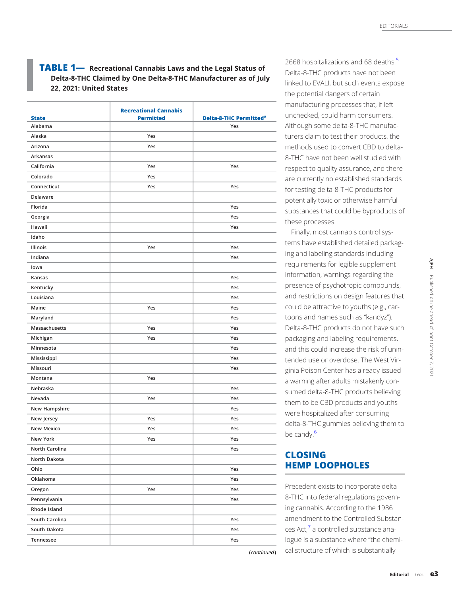## <span id="page-2-0"></span>**TABLE 1—** Recreational Cannabis Laws and the Legal Status of Delta-8-THC Claimed by One Delta-8-THC Manufacturer as of July 22, 2021: United States

|                 | <b>Recreational Cannabis</b> |                                          |
|-----------------|------------------------------|------------------------------------------|
| <b>State</b>    | <b>Permitted</b>             | <b>Delta-8-THC Permitted<sup>a</sup></b> |
| Alabama         |                              | Yes                                      |
| Alaska          | Yes                          |                                          |
| Arizona         | Yes                          |                                          |
| Arkansas        |                              |                                          |
| California      | Yes                          | Yes                                      |
| Colorado        | Yes                          |                                          |
| Connecticut     | Yes                          | Yes                                      |
| Delaware        |                              |                                          |
| Florida         |                              | Yes                                      |
| Georgia         |                              | Yes                                      |
| Hawaii          |                              | Yes                                      |
| Idaho           |                              |                                          |
| <b>Illinois</b> | Yes                          | Yes                                      |
| Indiana         |                              | Yes                                      |
| lowa            |                              |                                          |
| Kansas          |                              | Yes                                      |
| Kentucky        |                              | Yes                                      |
| Louisiana       |                              | Yes                                      |
| Maine           | Yes                          | Yes                                      |
| Maryland        |                              | Yes                                      |
| Massachusetts   | Yes                          | Yes                                      |
| Michigan        | Yes                          | Yes                                      |
| Minnesota       |                              | Yes                                      |
| Mississippi     |                              | Yes                                      |
| Missouri        |                              | Yes                                      |
| Montana         | Yes                          |                                          |
| Nebraska        |                              | Yes                                      |
| Nevada          | Yes                          | Yes                                      |
| New Hampshire   |                              | Yes                                      |
| New Jersey      | Yes                          | Yes                                      |
| New Mexico      | Yes                          | Yes                                      |
| New York        | Yes                          | Yes                                      |
| North Carolina  |                              | Yes                                      |
| North Dakota    |                              |                                          |
| Ohio            |                              | Yes                                      |
| Oklahoma        |                              | Yes                                      |
| Oregon          | Yes                          | Yes                                      |
| Pennsylvania    |                              | Yes                                      |
| Rhode Island    |                              |                                          |
| South Carolina  |                              | Yes                                      |
| South Dakota    |                              | Yes                                      |
| Tennessee       |                              | Yes                                      |

2668 hospitalizations and 68 deaths.<sup>5</sup> Delta-8-THC products have not been linked to EVALI, but such events expose the potential dangers of certain manufacturing processes that, if left unchecked, could harm consumers. Although some delta-8-THC manufacturers claim to test their products, the methods used to convert CBD to delta-8-THC have not been well studied with respect to quality assurance, and there are currently no established standards for testing delta-8-THC products for potentially toxic or otherwise harmful substances that could be byproducts of these processes.

Finally, most cannabis control systems have established detailed packaging and labeling standards including requirements for legible supplement information, warnings regarding the presence of psychotropic compounds, and restrictions on design features that could be attractive to youths (e.g., cartoons and names such as "kandyz"). Delta-8-THC products do not have such packaging and labeling requirements, and this could increase the risk of unintended use or overdose. The West Virginia Poison Center has already issued a warning after adults mistakenly consumed delta-8-THC products believing them to be CBD products and youths were hospitalized after consuming delta-8-THC gummies believing them to be candy.<sup>[6](#page-4-0)</sup> All the conditional Leas environmental control of a state of principal of principal of principal of principal of principal of principal of principal of principal of principal of principal of principal of principal of princ

# CLOSING HEMP LOOPHOLES

(continued)

Precedent exists to incorporate delta-8-THC into federal regulations governing cannabis. According to the 1986 amendment to the Controlled Substances Act[,7](#page-4-0) a controlled substance analogue is a substance where "the chemical structure of which is substantially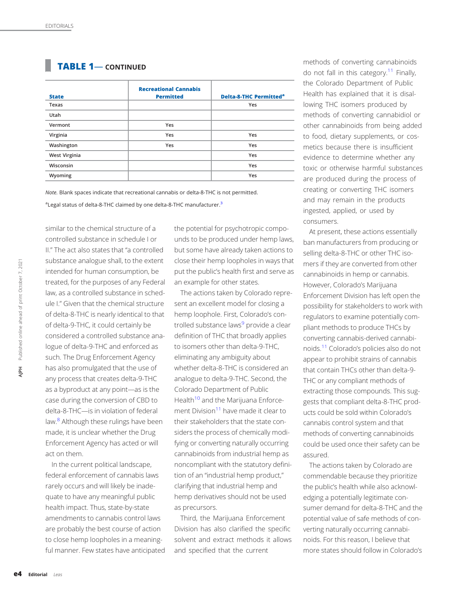# <span id="page-3-0"></span>TABLE 1— CONTINUED

| <b>State</b>  | <b>Recreational Cannabis</b><br><b>Permitted</b> | <b>Delta-8-THC Permitted<sup>a</sup></b> |
|---------------|--------------------------------------------------|------------------------------------------|
| Texas         |                                                  | Yes                                      |
| Utah          |                                                  |                                          |
| Vermont       | Yes                                              |                                          |
| Virginia      | Yes                                              | Yes                                      |
| Washington    | Yes                                              | Yes                                      |
| West Virginia |                                                  | Yes                                      |
| Wisconsin     |                                                  | Yes                                      |
| Wyoming       |                                                  | Yes                                      |

Note. Blank spaces indicate that recreational cannabis or delta-8-THC is not permitted.

<sup>a</sup>Legal status of delta-8-THC claimed by one delta-8-THC manufacturer.<sup>[3](#page-4-0)</sup>

similar to the chemical structure of a controlled substance in schedule I or II." The act also states that "a controlled substance analogue shall, to the extent intended for human consumption, be treated, for the purposes of any Federal law, as a controlled substance in schedule I." Given that the chemical structure of delta-8-THC is nearly identical to that of delta-9-THC, it could certainly be considered a controlled substance analogue of delta-9-THC and enforced as such. The Drug Enforcement Agency has also promulgated that the use of any process that creates delta-9-THC as a byproduct at any point—as is the case during the conversion of CBD to delta-8-THC—is in violation of federal law.<sup>8</sup> Although these rulings have been made, it is unclear whether the Drug Enforcement Agency has acted or will act on them. expective trate<br>that the data and the limit of del<br>signal logue<br>such. has a any p<br>as a b<br>delta law.<sup>8</sup>, made<br>Enfor act or line of principle quate<br>healt amen are p<br>to clo<br>ful magnetic featurial lease.

In the current political landscape, federal enforcement of cannabis laws rarely occurs and will likely be inadequate to have any meaningful public health impact. Thus, state-by-state amendments to cannabis control laws are probably the best course of action to close hemp loopholes in a meaningful manner. Few states have anticipated the potential for psychotropic compounds to be produced under hemp laws, but some have already taken actions to close their hemp loopholes in ways that put the public's health first and serve as an example for other states.

The actions taken by Colorado represent an excellent model for closing a hemp loophole. First, Colorado's controlled substance laws<sup>9</sup> provide a clear definition of THC that broadly applies to isomers other than delta-9-THC, eliminating any ambiguity about whether delta-8-THC is considered an analogue to delta-9-THC. Second, the Colorado Department of Public Health<sup>10</sup> and the Marijuana Enforcement Division<sup>11</sup> have made it clear to their stakeholders that the state considers the process of chemically modifying or converting naturally occurring cannabinoids from industrial hemp as noncompliant with the statutory definition of an "industrial hemp product," clarifying that industrial hemp and hemp derivatives should not be used as precursors.

Third, the Marijuana Enforcement Division has also clarified the specific solvent and extract methods it allows and specified that the current

methods of converting cannabinoids do not fall in this category.<sup>11</sup> Finally, the Colorado Department of Public Health has explained that it is disallowing THC isomers produced by methods of converting cannabidiol or other cannabinoids from being added to food, dietary supplements, or cosmetics because there is insufficient evidence to determine whether any toxic or otherwise harmful substances are produced during the process of creating or converting THC isomers and may remain in the products ingested, applied, or used by consumers.

At present, these actions essentially ban manufacturers from producing or selling delta-8-THC or other THC isomers if they are converted from other cannabinoids in hemp or cannabis. However, Colorado's Marijuana Enforcement Division has left open the possibility for stakeholders to work with regulators to examine potentially compliant methods to produce THCs by converting cannabis-derived cannabinoids[.11](#page-4-0) Colorado's policies also do not appear to prohibit strains of cannabis that contain THCs other than delta-9- THC or any compliant methods of extracting those compounds. This suggests that compliant delta-8-THC products could be sold within Colorado's cannabis control system and that methods of converting cannabinoids could be used once their safety can be assured.

The actions taken by Colorado are commendable because they prioritize the public's health while also acknowledging a potentially legitimate consumer demand for delta-8-THC and the potential value of safe methods of converting naturally occurring cannabinoids. For this reason, I believe that more states should follow in Colorado's